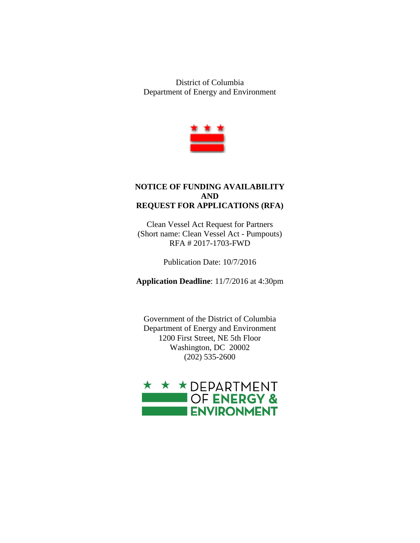District of Columbia Department of Energy and Environment



## **NOTICE OF FUNDING AVAILABILITY AND REQUEST FOR APPLICATIONS (RFA)**

Clean Vessel Act Request for Partners (Short name: Clean Vessel Act - Pumpouts) RFA # 2017-1703-FWD

Publication Date: 10/7/2016

**Application Deadline**: 11/7/2016 at 4:30pm

Government of the District of Columbia Department of Energy and Environment 1200 First Street, NE 5th Floor Washington, DC 20002 (202) 535-2600

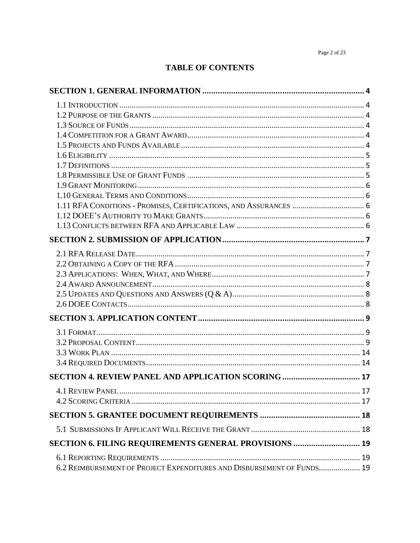# **TABLE OF CONTENTS**

| SECTION 4. REVIEW PANEL AND APPLICATION SCORING  17                    |    |
|------------------------------------------------------------------------|----|
| <b>4.1 REVIEW PANEL</b>                                                | 17 |
|                                                                        |    |
|                                                                        |    |
|                                                                        |    |
|                                                                        |    |
| SECTION 6. FILING REQUIREMENTS GENERAL PROVISIONS  19                  |    |
|                                                                        |    |
| 6.2 REIMBURSEMENT OF PROJECT EXPENDITURES AND DISBURSEMENT OF FUNDS 19 |    |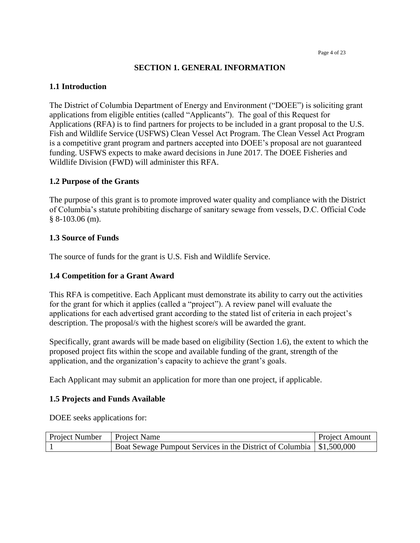### **SECTION 1. GENERAL INFORMATION**

#### <span id="page-3-1"></span><span id="page-3-0"></span>**1.1 Introduction**

The District of Columbia Department of Energy and Environment ("DOEE") is soliciting grant applications from eligible entities (called "Applicants"). The goal of this Request for Applications (RFA) is to find partners for projects to be included in a grant proposal to the U.S. Fish and Wildlife Service (USFWS) Clean Vessel Act Program. The Clean Vessel Act Program is a competitive grant program and partners accepted into DOEE's proposal are not guaranteed funding. USFWS expects to make award decisions in June 2017. The DOEE Fisheries and Wildlife Division (FWD) will administer this RFA.

#### <span id="page-3-2"></span>**1.2 Purpose of the Grants**

The purpose of this grant is to promote improved water quality and compliance with the District of Columbia's statute prohibiting discharge of sanitary sewage from vessels, D.C. Official Code § 8-103.06 (m).

#### <span id="page-3-3"></span>**1.3 Source of Funds**

The source of funds for the grant is U.S. Fish and Wildlife Service.

#### <span id="page-3-4"></span>**1.4 Competition for a Grant Award**

This RFA is competitive. Each Applicant must demonstrate its ability to carry out the activities for the grant for which it applies (called a "project"). A review panel will evaluate the applications for each advertised grant according to the stated list of criteria in each project's description. The proposal/s with the highest score/s will be awarded the grant.

Specifically, grant awards will be made based on eligibility (Section 1.6), the extent to which the proposed project fits within the scope and available funding of the grant, strength of the application, and the organization's capacity to achieve the grant's goals.

Each Applicant may submit an application for more than one project, if applicable.

#### <span id="page-3-5"></span>**1.5 Projects and Funds Available**

DOEE seeks applications for:

| Project Number   Project Name |                                                                        | <b>Project Amount</b> |
|-------------------------------|------------------------------------------------------------------------|-----------------------|
|                               | Boat Sewage Pumpout Services in the District of Columbia   \$1,500,000 |                       |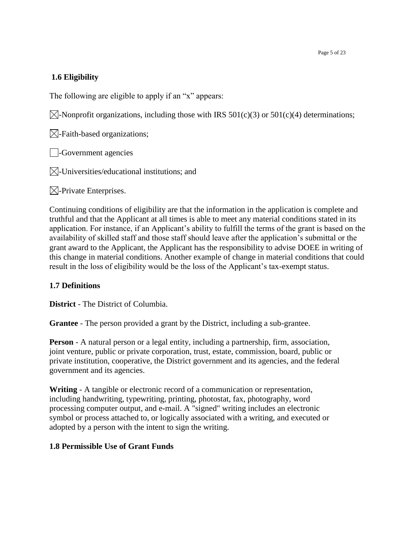## <span id="page-4-0"></span>**1.6 Eligibility**

The following are eligible to apply if an "x" appears:

 $\boxtimes$ -Nonprofit organizations, including those with IRS 501(c)(3) or 501(c)(4) determinations;

 $\boxtimes$ -Faith-based organizations;

**-Government agencies** 

 $\boxtimes$ -Universities/educational institutions; and

 $\boxtimes$ -Private Enterprises.

Continuing conditions of eligibility are that the information in the application is complete and truthful and that the Applicant at all times is able to meet any material conditions stated in its application. For instance, if an Applicant's ability to fulfill the terms of the grant is based on the availability of skilled staff and those staff should leave after the application's submittal or the grant award to the Applicant, the Applicant has the responsibility to advise DOEE in writing of this change in material conditions. Another example of change in material conditions that could result in the loss of eligibility would be the loss of the Applicant's tax-exempt status.

## <span id="page-4-1"></span>**1.7 Definitions**

**District** - The District of Columbia.

**Grantee** - The person provided a grant by the District, including a sub-grantee.

**Person** - A natural person or a legal entity, including a partnership, firm, association, joint venture, public or private corporation, trust, estate, commission, board, public or private institution, cooperative, the District government and its agencies, and the federal government and its agencies.

**Writing** - A tangible or electronic record of a communication or representation, including handwriting, typewriting, printing, photostat, fax, photography, word processing computer output, and e-mail. A "signed" writing includes an electronic symbol or process attached to, or logically associated with a writing, and executed or adopted by a person with the intent to sign the writing.

## <span id="page-4-2"></span>**1.8 Permissible Use of Grant Funds**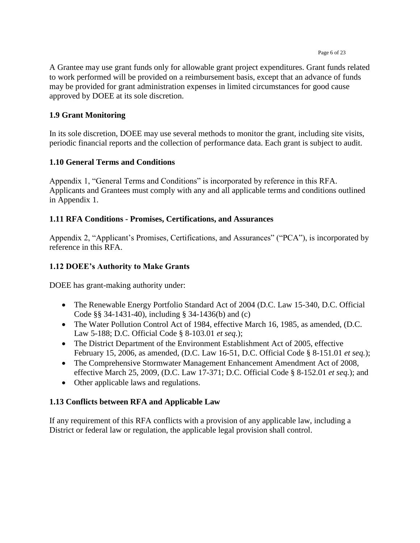#### Page 6 of 23

A Grantee may use grant funds only for allowable grant project expenditures. Grant funds related to work performed will be provided on a reimbursement basis, except that an advance of funds may be provided for grant administration expenses in limited circumstances for good cause approved by DOEE at its sole discretion.

## <span id="page-5-0"></span>**1.9 Grant Monitoring**

In its sole discretion, DOEE may use several methods to monitor the grant, including site visits, periodic financial reports and the collection of performance data. Each grant is subject to audit.

## <span id="page-5-1"></span>**1.10 General Terms and Conditions**

Appendix 1, "General Terms and Conditions" is incorporated by reference in this RFA. Applicants and Grantees must comply with any and all applicable terms and conditions outlined in Appendix 1.

## <span id="page-5-2"></span>**1.11 RFA Conditions - Promises, Certifications, and Assurances**

Appendix 2, "Applicant's Promises, Certifications, and Assurances" ("PCA"), is incorporated by reference in this RFA.

## <span id="page-5-3"></span>**1.12 DOEE's Authority to Make Grants**

DOEE has grant-making authority under:

- The Renewable Energy Portfolio Standard Act of 2004 (D.C. Law 15-340, D.C. Official Code §§ 34-1431-40), including § 34-1436(b) and (c)
- The Water Pollution Control Act of 1984, effective March 16, 1985, as amended, (D.C. Law 5-188; D.C. Official Code § 8-103.01 *et seq.*);
- The District Department of the Environment Establishment Act of 2005, effective February 15, 2006, as amended, (D.C. Law 16-51, D.C. Official Code § 8-151.01 *et seq.*);
- The Comprehensive Stormwater Management Enhancement Amendment Act of 2008, effective March 25, 2009, (D.C. Law 17-371; D.C. Official Code § 8-152.01 *et seq.*); and
- Other applicable laws and regulations.

## <span id="page-5-4"></span>**1.13 Conflicts between RFA and Applicable Law**

If any requirement of this RFA conflicts with a provision of any applicable law, including a District or federal law or regulation, the applicable legal provision shall control.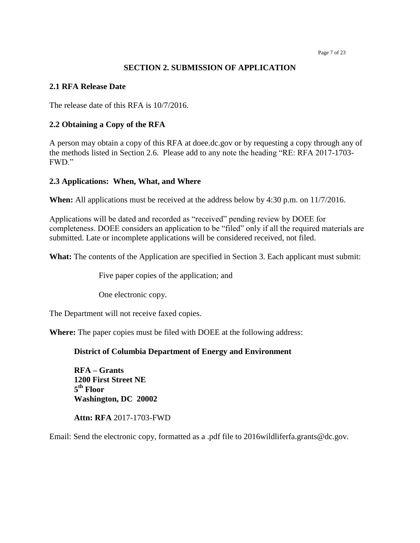Page 7 of 23

#### **SECTION 2. SUBMISSION OF APPLICATION**

#### <span id="page-6-1"></span><span id="page-6-0"></span>**2.1 RFA Release Date**

The release date of this RFA is 10/7/2016.

#### <span id="page-6-2"></span>**2.2 Obtaining a Copy of the RFA**

A person may obtain a copy of this RFA at doee.dc.gov or by requesting a copy through any of the methods listed in Section 2.6. Please add to any note the heading "RE: RFA 2017-1703- FWD."

#### <span id="page-6-3"></span>**2.3 Applications: When, What, and Where**

**When:** All applications must be received at the address below by 4:30 p.m. on 11/7/2016.

Applications will be dated and recorded as "received" pending review by DOEE for completeness. DOEE considers an application to be "filed" only if all the required materials are submitted. Late or incomplete applications will be considered received, not filed.

**What:** The contents of the Application are specified in Section 3. Each applicant must submit:

Five paper copies of the application; and

One electronic copy.

The Department will not receive faxed copies.

**Where:** The paper copies must be filed with DOEE at the following address:

#### **District of Columbia Department of Energy and Environment**

**RFA – Grants 1200 First Street NE 5 th Floor Washington, DC 20002**

**Attn: RFA** 2017-1703-FWD

<span id="page-6-4"></span>Email: Send the electronic copy, formatted as a .pdf file to 2016wildliferfa.grants@dc.gov.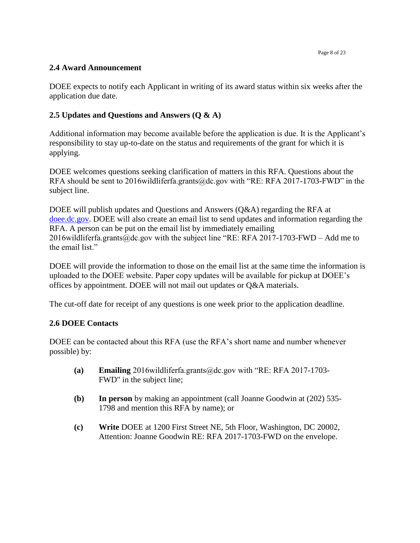Page 8 of 23

## **2.4 Award Announcement**

DOEE expects to notify each Applicant in writing of its award status within six weeks after the application due date.

# <span id="page-7-0"></span>**2.5 Updates and Questions and Answers (Q & A)**

Additional information may become available before the application is due. It is the Applicant's responsibility to stay up-to-date on the status and requirements of the grant for which it is applying.

DOEE welcomes questions seeking clarification of matters in this RFA. Questions about the RFA should be sent to 2016 wildlifer fa.grants@dc.gov with "RE: RFA 2017-1703-FWD" in the subject line.

DOEE will publish updates and Questions and Answers (Q&A) regarding the RFA at [doee.dc.gov.](http://doee.dc.gov/) DOEE will also create an email list to send updates and information regarding the RFA. A person can be put on the email list by immediately emailing 2016 wildliferfa.grants@dc.gov with the subject line "RE: RFA 2017-1703-FWD – Add me to the email list."

DOEE will provide the information to those on the email list at the same time the information is uploaded to the DOEE website. Paper copy updates will be available for pickup at DOEE's offices by appointment. DOEE will not mail out updates or Q&A materials.

The cut-off date for receipt of any questions is one week prior to the application deadline.

## <span id="page-7-1"></span>**2.6 DOEE Contacts**

DOEE can be contacted about this RFA (use the RFA's short name and number whenever possible) by:

- **(a) Emailing** 2016wildliferfa.grants@dc.gov with "RE: RFA 2017-1703- FWD" in the subject line;
- **(b) In person** by making an appointment (call Joanne Goodwin at (202) 535- 1798 and mention this RFA by name); or
- <span id="page-7-2"></span>**(c) Write** DOEE at 1200 First Street NE, 5th Floor, Washington, DC 20002, Attention: Joanne Goodwin RE: RFA 2017-1703-FWD on the envelope.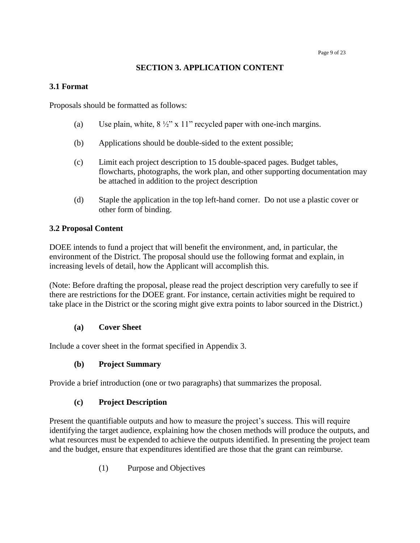## **SECTION 3. APPLICATION CONTENT**

### <span id="page-8-0"></span>**3.1 Format**

Proposals should be formatted as follows:

- (a) Use plain, white,  $8\frac{1}{2}$ " x 11" recycled paper with one-inch margins.
- (b) Applications should be double-sided to the extent possible;
- (c) Limit each project description to 15 double-spaced pages. Budget tables, flowcharts, photographs, the work plan, and other supporting documentation may be attached in addition to the project description
- (d) Staple the application in the top left-hand corner. Do not use a plastic cover or other form of binding.

## <span id="page-8-1"></span>**3.2 Proposal Content**

DOEE intends to fund a project that will benefit the environment, and, in particular, the environment of the District. The proposal should use the following format and explain, in increasing levels of detail, how the Applicant will accomplish this.

(Note: Before drafting the proposal, please read the project description very carefully to see if there are restrictions for the DOEE grant. For instance, certain activities might be required to take place in the District or the scoring might give extra points to labor sourced in the District.)

## **(a) Cover Sheet**

Include a cover sheet in the format specified in Appendix 3.

## **(b) Project Summary**

Provide a brief introduction (one or two paragraphs) that summarizes the proposal.

## **(c) Project Description**

Present the quantifiable outputs and how to measure the project's success. This will require identifying the target audience, explaining how the chosen methods will produce the outputs, and what resources must be expended to achieve the outputs identified. In presenting the project team and the budget, ensure that expenditures identified are those that the grant can reimburse.

(1) Purpose and Objectives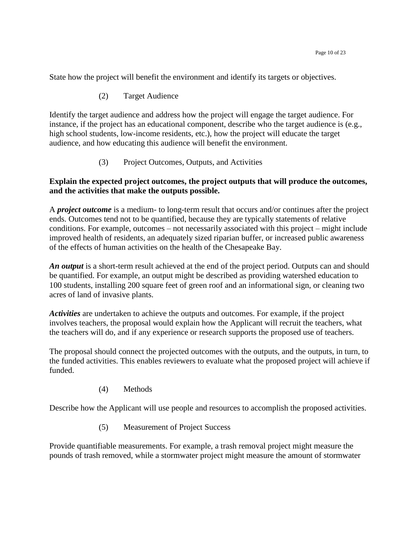State how the project will benefit the environment and identify its targets or objectives.

(2) Target Audience

Identify the target audience and address how the project will engage the target audience. For instance, if the project has an educational component, describe who the target audience is (e.g., high school students, low-income residents, etc.), how the project will educate the target audience, and how educating this audience will benefit the environment.

(3) Project Outcomes, Outputs, and Activities

### **Explain the expected project outcomes, the project outputs that will produce the outcomes, and the activities that make the outputs possible.**

A *project outcome* is a medium- to long-term result that occurs and/or continues after the project ends. Outcomes tend not to be quantified, because they are typically statements of relative conditions. For example, outcomes – not necessarily associated with this project – might include improved health of residents, an adequately sized riparian buffer, or increased public awareness of the effects of human activities on the health of the Chesapeake Bay.

*An output* is a short-term result achieved at the end of the project period. Outputs can and should be quantified. For example, an output might be described as providing watershed education to 100 students, installing 200 square feet of green roof and an informational sign, or cleaning two acres of land of invasive plants.

*Activities* are undertaken to achieve the outputs and outcomes. For example, if the project involves teachers, the proposal would explain how the Applicant will recruit the teachers, what the teachers will do, and if any experience or research supports the proposed use of teachers.

The proposal should connect the projected outcomes with the outputs, and the outputs, in turn, to the funded activities. This enables reviewers to evaluate what the proposed project will achieve if funded.

(4) Methods

Describe how the Applicant will use people and resources to accomplish the proposed activities.

(5) Measurement of Project Success

Provide quantifiable measurements. For example, a trash removal project might measure the pounds of trash removed, while a stormwater project might measure the amount of stormwater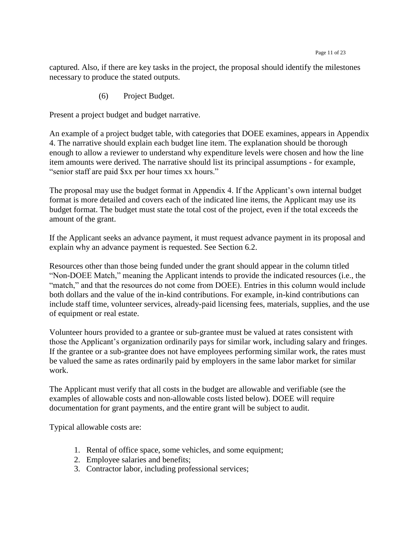captured. Also, if there are key tasks in the project, the proposal should identify the milestones necessary to produce the stated outputs.

(6) Project Budget.

Present a project budget and budget narrative.

An example of a project budget table, with categories that DOEE examines, appears in Appendix 4. The narrative should explain each budget line item. The explanation should be thorough enough to allow a reviewer to understand why expenditure levels were chosen and how the line item amounts were derived. The narrative should list its principal assumptions - for example, "senior staff are paid \$xx per hour times xx hours."

The proposal may use the budget format in Appendix 4. If the Applicant's own internal budget format is more detailed and covers each of the indicated line items, the Applicant may use its budget format. The budget must state the total cost of the project, even if the total exceeds the amount of the grant.

If the Applicant seeks an advance payment, it must request advance payment in its proposal and explain why an advance payment is requested. See Section 6.2.

Resources other than those being funded under the grant should appear in the column titled "Non-DOEE Match," meaning the Applicant intends to provide the indicated resources (i.e., the "match," and that the resources do not come from DOEE). Entries in this column would include both dollars and the value of the in-kind contributions. For example, in-kind contributions can include staff time, volunteer services, already-paid licensing fees, materials, supplies, and the use of equipment or real estate.

Volunteer hours provided to a grantee or sub-grantee must be valued at rates consistent with those the Applicant's organization ordinarily pays for similar work, including salary and fringes. If the grantee or a sub-grantee does not have employees performing similar work, the rates must be valued the same as rates ordinarily paid by employers in the same labor market for similar work.

The Applicant must verify that all costs in the budget are allowable and verifiable (see the examples of allowable costs and non-allowable costs listed below). DOEE will require documentation for grant payments, and the entire grant will be subject to audit.

Typical allowable costs are:

- 1. Rental of office space, some vehicles, and some equipment;
- 2. Employee salaries and benefits;
- 3. Contractor labor, including professional services;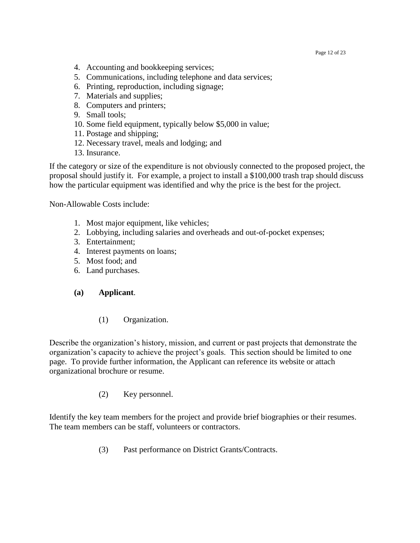Page 12 of 23

- 4. Accounting and bookkeeping services;
- 5. Communications, including telephone and data services;
- 6. Printing, reproduction, including signage;
- 7. Materials and supplies;
- 8. Computers and printers;
- 9. Small tools;
- 10. Some field equipment, typically below \$5,000 in value;
- 11. Postage and shipping;
- 12. Necessary travel, meals and lodging; and
- 13. Insurance.

If the category or size of the expenditure is not obviously connected to the proposed project, the proposal should justify it. For example, a project to install a \$100,000 trash trap should discuss how the particular equipment was identified and why the price is the best for the project.

Non-Allowable Costs include:

- 1. Most major equipment, like vehicles;
- 2. Lobbying, including salaries and overheads and out-of-pocket expenses;
- 3. Entertainment;
- 4. Interest payments on loans;
- 5. Most food; and
- 6. Land purchases.

#### **(a) Applicant**.

(1) Organization.

Describe the organization's history, mission, and current or past projects that demonstrate the organization's capacity to achieve the project's goals. This section should be limited to one page. To provide further information, the Applicant can reference its website or attach organizational brochure or resume.

(2) Key personnel.

Identify the key team members for the project and provide brief biographies or their resumes. The team members can be staff, volunteers or contractors.

(3) Past performance on District Grants/Contracts.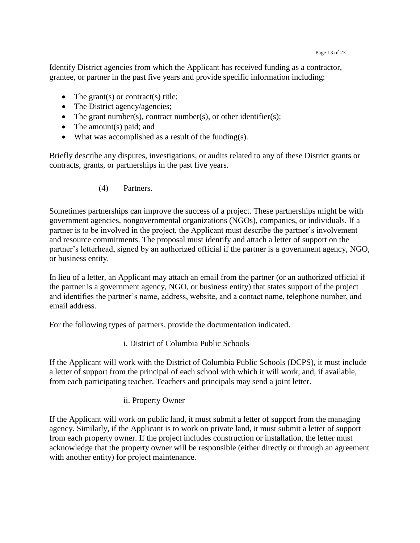Identify District agencies from which the Applicant has received funding as a contractor, grantee, or partner in the past five years and provide specific information including:

- The grant(s) or contract(s) title;
- The District agency/agencies;
- The grant number(s), contract number(s), or other identifier(s);
- $\bullet$  The amount(s) paid; and
- What was accomplished as a result of the funding(s).

Briefly describe any disputes, investigations, or audits related to any of these District grants or contracts, grants, or partnerships in the past five years.

(4) Partners.

Sometimes partnerships can improve the success of a project. These partnerships might be with government agencies, nongovernmental organizations (NGOs), companies, or individuals. If a partner is to be involved in the project, the Applicant must describe the partner's involvement and resource commitments. The proposal must identify and attach a letter of support on the partner's letterhead, signed by an authorized official if the partner is a government agency, NGO, or business entity.

In lieu of a letter, an Applicant may attach an email from the partner (or an authorized official if the partner is a government agency, NGO, or business entity) that states support of the project and identifies the partner's name, address, website, and a contact name, telephone number, and email address.

For the following types of partners, provide the documentation indicated.

i. District of Columbia Public Schools

If the Applicant will work with the District of Columbia Public Schools (DCPS), it must include a letter of support from the principal of each school with which it will work, and, if available, from each participating teacher. Teachers and principals may send a joint letter.

ii. Property Owner

If the Applicant will work on public land, it must submit a letter of support from the managing agency. Similarly, if the Applicant is to work on private land, it must submit a letter of support from each property owner. If the project includes construction or installation, the letter must acknowledge that the property owner will be responsible (either directly or through an agreement with another entity) for project maintenance.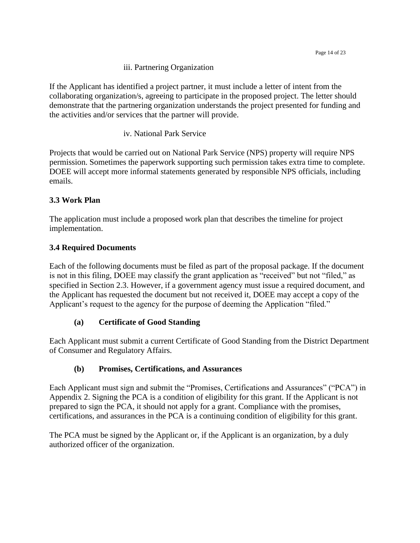iii. Partnering Organization

If the Applicant has identified a project partner, it must include a letter of intent from the collaborating organization/s, agreeing to participate in the proposed project. The letter should demonstrate that the partnering organization understands the project presented for funding and the activities and/or services that the partner will provide.

iv. National Park Service

Projects that would be carried out on National Park Service (NPS) property will require NPS permission. Sometimes the paperwork supporting such permission takes extra time to complete. DOEE will accept more informal statements generated by responsible NPS officials, including emails.

## <span id="page-13-0"></span>**3.3 Work Plan**

The application must include a proposed work plan that describes the timeline for project implementation.

## <span id="page-13-1"></span>**3.4 Required Documents**

Each of the following documents must be filed as part of the proposal package. If the document is not in this filing, DOEE may classify the grant application as "received" but not "filed," as specified in Section 2.3. However, if a government agency must issue a required document, and the Applicant has requested the document but not received it, DOEE may accept a copy of the Applicant's request to the agency for the purpose of deeming the Application "filed."

## **(a) Certificate of Good Standing**

Each Applicant must submit a current Certificate of Good Standing from the District Department of Consumer and Regulatory Affairs.

## **(b) Promises, Certifications, and Assurances**

Each Applicant must sign and submit the "Promises, Certifications and Assurances" ("PCA") in Appendix 2. Signing the PCA is a condition of eligibility for this grant. If the Applicant is not prepared to sign the PCA, it should not apply for a grant. Compliance with the promises, certifications, and assurances in the PCA is a continuing condition of eligibility for this grant.

The PCA must be signed by the Applicant or, if the Applicant is an organization, by a duly authorized officer of the organization.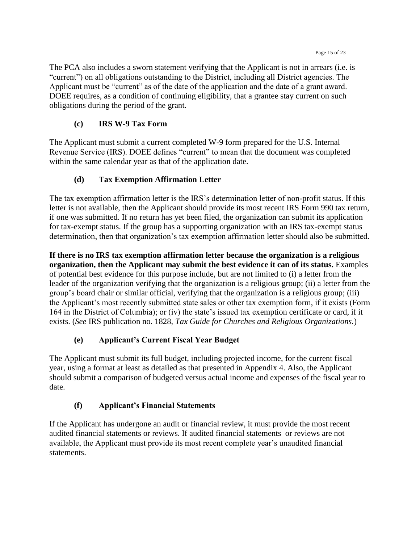The PCA also includes a sworn statement verifying that the Applicant is not in arrears (i.e. is "current") on all obligations outstanding to the District, including all District agencies. The Applicant must be "current" as of the date of the application and the date of a grant award. DOEE requires, as a condition of continuing eligibility, that a grantee stay current on such obligations during the period of the grant.

## **(c) IRS W-9 Tax Form**

The Applicant must submit a current completed W-9 form prepared for the U.S. Internal Revenue Service (IRS). DOEE defines "current" to mean that the document was completed within the same calendar year as that of the application date.

## **(d) Tax Exemption Affirmation Letter**

The tax exemption affirmation letter is the IRS's determination letter of non-profit status. If this letter is not available, then the Applicant should provide its most recent IRS Form 990 tax return, if one was submitted. If no return has yet been filed, the organization can submit its application for tax-exempt status. If the group has a supporting organization with an IRS tax-exempt status determination, then that organization's tax exemption affirmation letter should also be submitted.

**If there is no IRS tax exemption affirmation letter because the organization is a religious organization, then the Applicant may submit the best evidence it can of its status.** Examples of potential best evidence for this purpose include, but are not limited to (i) a letter from the leader of the organization verifying that the organization is a religious group; (ii) a letter from the group's board chair or similar official, verifying that the organization is a religious group; (iii) the Applicant's most recently submitted state sales or other tax exemption form, if it exists (Form 164 in the District of Columbia); or (iv) the state's issued tax exemption certificate or card, if it exists. (*See* IRS publication no. 1828, *Tax Guide for Churches and Religious Organizations.*)

## **(e) Applicant's Current Fiscal Year Budget**

The Applicant must submit its full budget, including projected income, for the current fiscal year, using a format at least as detailed as that presented in Appendix 4. Also, the Applicant should submit a comparison of budgeted versus actual income and expenses of the fiscal year to date.

## **(f) Applicant's Financial Statements**

If the Applicant has undergone an audit or financial review, it must provide the most recent audited financial statements or reviews. If audited financial statements or reviews are not available, the Applicant must provide its most recent complete year's unaudited financial statements.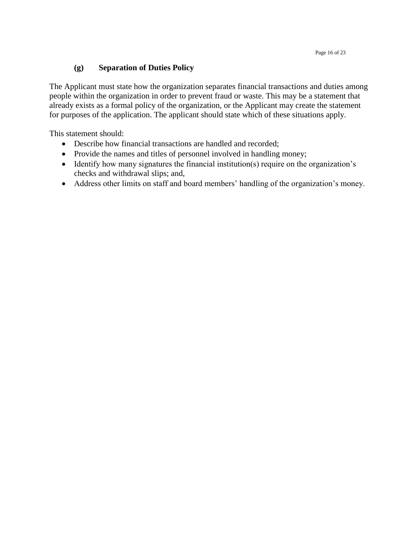## **(g) Separation of Duties Policy**

The Applicant must state how the organization separates financial transactions and duties among people within the organization in order to prevent fraud or waste. This may be a statement that already exists as a formal policy of the organization, or the Applicant may create the statement for purposes of the application. The applicant should state which of these situations apply.

This statement should:

- Describe how financial transactions are handled and recorded;
- Provide the names and titles of personnel involved in handling money;
- Identify how many signatures the financial institution(s) require on the organization's checks and withdrawal slips; and,
- <span id="page-15-0"></span>Address other limits on staff and board members' handling of the organization's money.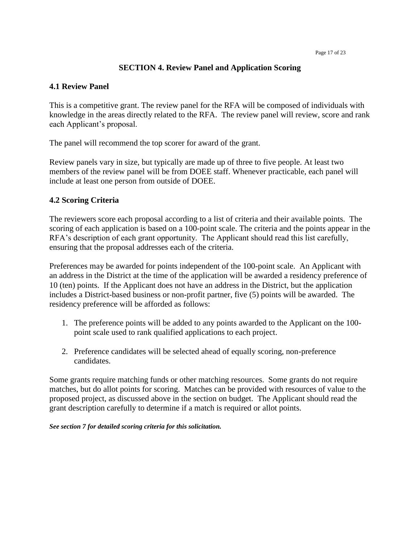Page 17 of 23

### **SECTION 4. Review Panel and Application Scoring**

### <span id="page-16-0"></span>**4.1 Review Panel**

This is a competitive grant. The review panel for the RFA will be composed of individuals with knowledge in the areas directly related to the RFA. The review panel will review, score and rank each Applicant's proposal.

The panel will recommend the top scorer for award of the grant.

Review panels vary in size, but typically are made up of three to five people. At least two members of the review panel will be from DOEE staff. Whenever practicable, each panel will include at least one person from outside of DOEE.

## <span id="page-16-1"></span>**4.2 Scoring Criteria**

The reviewers score each proposal according to a list of criteria and their available points. The scoring of each application is based on a 100-point scale. The criteria and the points appear in the RFA's description of each grant opportunity. The Applicant should read this list carefully, ensuring that the proposal addresses each of the criteria.

Preferences may be awarded for points independent of the 100-point scale. An Applicant with an address in the District at the time of the application will be awarded a residency preference of 10 (ten) points. If the Applicant does not have an address in the District, but the application includes a District-based business or non-profit partner, five (5) points will be awarded. The residency preference will be afforded as follows:

- 1. The preference points will be added to any points awarded to the Applicant on the 100 point scale used to rank qualified applications to each project.
- 2. Preference candidates will be selected ahead of equally scoring, non-preference candidates.

Some grants require matching funds or other matching resources. Some grants do not require matches, but do allot points for scoring. Matches can be provided with resources of value to the proposed project, as discussed above in the section on budget. The Applicant should read the grant description carefully to determine if a match is required or allot points.

<span id="page-16-2"></span>*See section 7 for detailed scoring criteria for this solicitation.*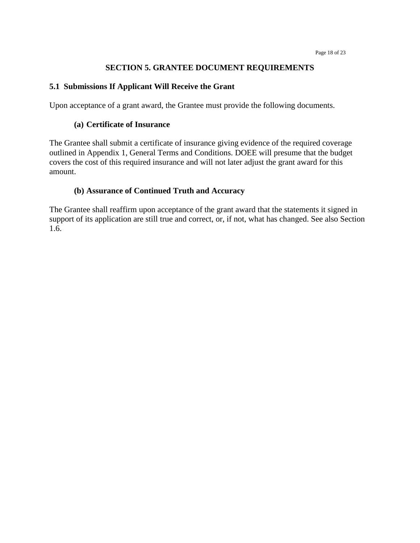#### **SECTION 5. GRANTEE DOCUMENT REQUIREMENTS**

#### <span id="page-17-0"></span>**5.1 Submissions If Applicant Will Receive the Grant**

Upon acceptance of a grant award, the Grantee must provide the following documents.

#### **(a) Certificate of Insurance**

The Grantee shall submit a certificate of insurance giving evidence of the required coverage outlined in Appendix 1, General Terms and Conditions. DOEE will presume that the budget covers the cost of this required insurance and will not later adjust the grant award for this amount.

### **(b) Assurance of Continued Truth and Accuracy**

<span id="page-17-1"></span>The Grantee shall reaffirm upon acceptance of the grant award that the statements it signed in support of its application are still true and correct, or, if not, what has changed. See also Section 1.6.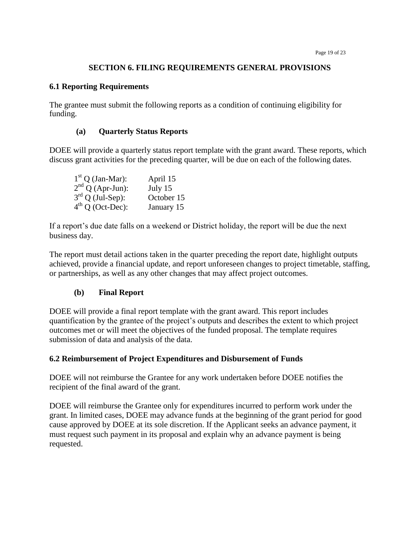#### **SECTION 6. FILING REQUIREMENTS GENERAL PROVISIONS**

#### <span id="page-18-0"></span>**6.1 Reporting Requirements**

The grantee must submit the following reports as a condition of continuing eligibility for funding.

#### **(a) Quarterly Status Reports**

DOEE will provide a quarterly status report template with the grant award. These reports, which discuss grant activities for the preceding quarter, will be due on each of the following dates.

| $1st Q$ (Jan-Mar): | April 15   |
|--------------------|------------|
| $2nd Q (Apr-Jun):$ | July 15    |
| $3rd$ Q (Jul-Sep): | October 15 |
| $4th Q$ (Oct-Dec): | January 15 |

If a report's due date falls on a weekend or District holiday, the report will be due the next business day.

The report must detail actions taken in the quarter preceding the report date, highlight outputs achieved, provide a financial update, and report unforeseen changes to project timetable, staffing, or partnerships, as well as any other changes that may affect project outcomes.

#### **(b) Final Report**

DOEE will provide a final report template with the grant award. This report includes quantification by the grantee of the project's outputs and describes the extent to which project outcomes met or will meet the objectives of the funded proposal. The template requires submission of data and analysis of the data.

#### **6.2 Reimbursement of Project Expenditures and Disbursement of Funds**

DOEE will not reimburse the Grantee for any work undertaken before DOEE notifies the recipient of the final award of the grant.

DOEE will reimburse the Grantee only for expenditures incurred to perform work under the grant. In limited cases, DOEE may advance funds at the beginning of the grant period for good cause approved by DOEE at its sole discretion. If the Applicant seeks an advance payment, it must request such payment in its proposal and explain why an advance payment is being requested.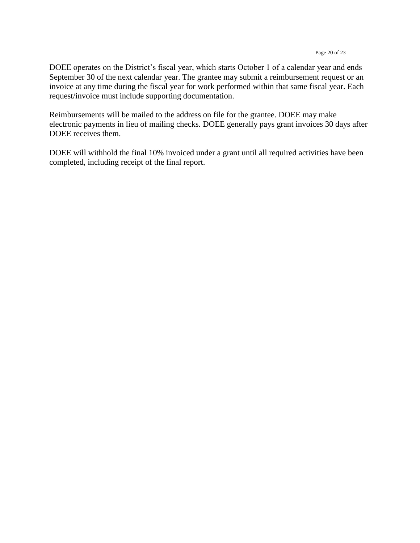DOEE operates on the District's fiscal year, which starts October 1 of a calendar year and ends September 30 of the next calendar year. The grantee may submit a reimbursement request or an invoice at any time during the fiscal year for work performed within that same fiscal year. Each request/invoice must include supporting documentation.

Reimbursements will be mailed to the address on file for the grantee. DOEE may make electronic payments in lieu of mailing checks. DOEE generally pays grant invoices 30 days after DOEE receives them.

DOEE will withhold the final 10% invoiced under a grant until all required activities have been completed, including receipt of the final report.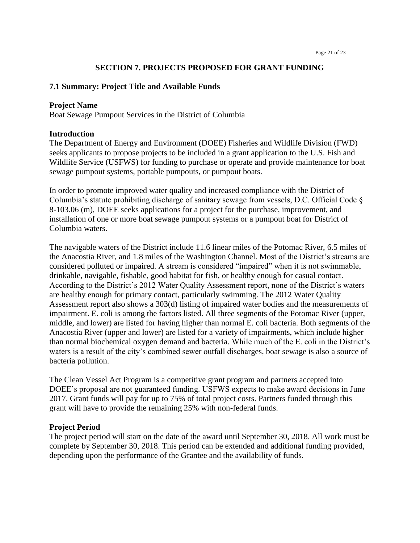#### **SECTION 7. PROJECTS PROPOSED FOR GRANT FUNDING**

#### <span id="page-20-1"></span><span id="page-20-0"></span>**7.1 Summary: Project Title and Available Funds**

#### **Project Name**

Boat Sewage Pumpout Services in the District of Columbia

#### **Introduction**

The Department of Energy and Environment (DOEE) Fisheries and Wildlife Division (FWD) seeks applicants to propose projects to be included in a grant application to the U.S. Fish and Wildlife Service (USFWS) for funding to purchase or operate and provide maintenance for boat sewage pumpout systems, portable pumpouts, or pumpout boats.

In order to promote improved water quality and increased compliance with the District of Columbia's statute prohibiting discharge of sanitary sewage from vessels, D.C. Official Code § 8-103.06 (m), DOEE seeks applications for a project for the purchase, improvement, and installation of one or more boat sewage pumpout systems or a pumpout boat for District of Columbia waters.

The navigable waters of the District include 11.6 linear miles of the Potomac River, 6.5 miles of the Anacostia River, and 1.8 miles of the Washington Channel. Most of the District's streams are considered polluted or impaired. A stream is considered "impaired" when it is not swimmable, drinkable, navigable, fishable, good habitat for fish, or healthy enough for casual contact. According to the District's 2012 Water Quality Assessment report, none of the District's waters are healthy enough for primary contact, particularly swimming. The 2012 Water Quality Assessment report also shows a 303(d) listing of impaired water bodies and the measurements of impairment. E. coli is among the factors listed. All three segments of the Potomac River (upper, middle, and lower) are listed for having higher than normal E. coli bacteria. Both segments of the Anacostia River (upper and lower) are listed for a variety of impairments, which include higher than normal biochemical oxygen demand and bacteria. While much of the E. coli in the District's waters is a result of the city's combined sewer outfall discharges, boat sewage is also a source of bacteria pollution.

The Clean Vessel Act Program is a competitive grant program and partners accepted into DOEE's proposal are not guaranteed funding. USFWS expects to make award decisions in June 2017. Grant funds will pay for up to 75% of total project costs. Partners funded through this grant will have to provide the remaining 25% with non-federal funds.

#### **Project Period**

The project period will start on the date of the award until September 30, 2018. All work must be complete by September 30, 2018. This period can be extended and additional funding provided, depending upon the performance of the Grantee and the availability of funds.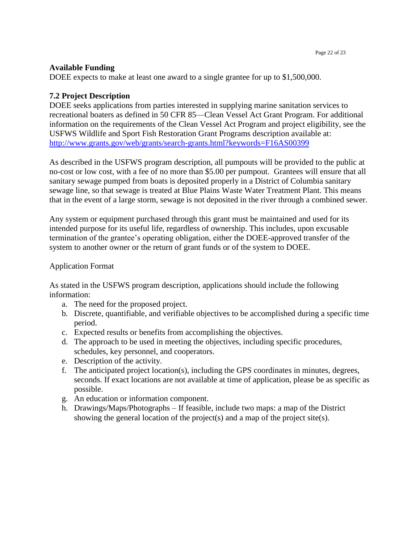#### **Available Funding**

DOEE expects to make at least one award to a single grantee for up to \$1,500,000.

#### **7.2 Project Description**

DOEE seeks applications from parties interested in supplying marine sanitation services to recreational boaters as defined in 50 CFR 85—Clean Vessel Act Grant Program. For additional information on the requirements of the Clean Vessel Act Program and project eligibility, see the USFWS Wildlife and Sport Fish Restoration Grant Programs description available at: <http://www.grants.gov/web/grants/search-grants.html?keywords=F16AS00399>

As described in the USFWS program description, all pumpouts will be provided to the public at no-cost or low cost, with a fee of no more than \$5.00 per pumpout. Grantees will ensure that all sanitary sewage pumped from boats is deposited properly in a District of Columbia sanitary sewage line, so that sewage is treated at Blue Plains Waste Water Treatment Plant. This means that in the event of a large storm, sewage is not deposited in the river through a combined sewer.

Any system or equipment purchased through this grant must be maintained and used for its intended purpose for its useful life, regardless of ownership. This includes, upon excusable termination of the grantee's operating obligation, either the DOEE-approved transfer of the system to another owner or the return of grant funds or of the system to DOEE.

#### Application Format

As stated in the USFWS program description, applications should include the following information:

- a. The need for the proposed project.
- b. Discrete, quantifiable, and verifiable objectives to be accomplished during a specific time period.
- c. Expected results or benefits from accomplishing the objectives.
- d. The approach to be used in meeting the objectives, including specific procedures, schedules, key personnel, and cooperators.
- e. Description of the activity.
- f. The anticipated project location(s), including the GPS coordinates in minutes, degrees, seconds. If exact locations are not available at time of application, please be as specific as possible.
- g. An education or information component.
- h. Drawings/Maps/Photographs If feasible, include two maps: a map of the District showing the general location of the project(s) and a map of the project site(s).